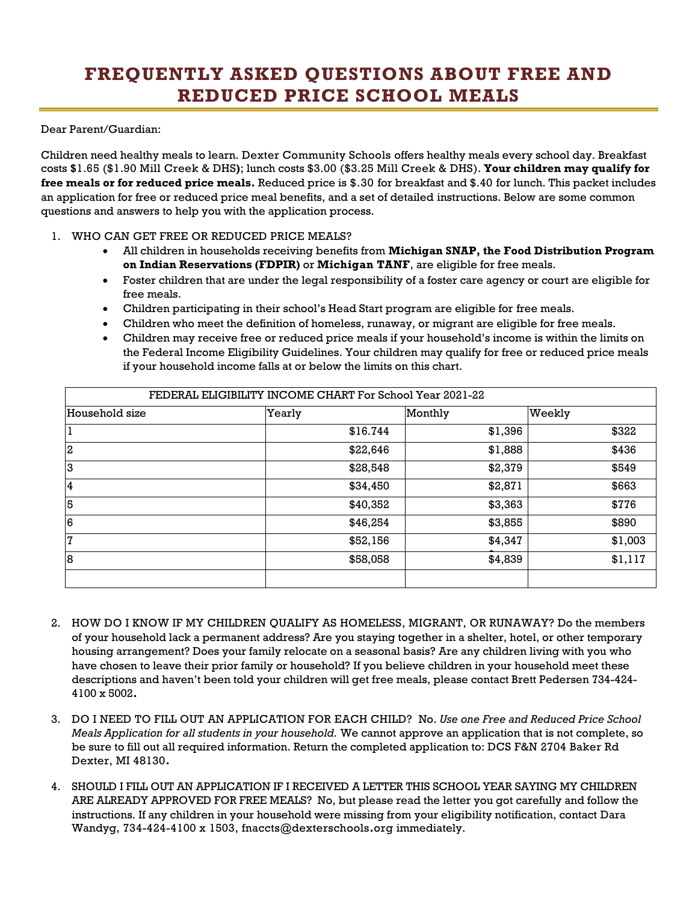## **FREQUENTLY ASKED QUESTIONS ABOUT FREE AND REDUCED PRICE SCHOOL MEALS**

Dear Parent/Guardian:

Children need healthy meals to learn. Dexter Community Schools offers healthy meals every school day. Breakfast costs **\$**1.65 (\$1.90 Mill Creek & DHS**)**; lunch costs \$3.00 (\$3.25 Mill Creek & DHS). **Your children may qualify for free meals or for reduced price meals.** Reduced price is \$.30 for breakfast and \$.40 for lunch. This packet includes an application for free or reduced price meal benefits, and a set of detailed instructions. Below are some common questions and answers to help you with the application process.

## 1. WHO CAN GET FREE OR REDUCED PRICE MEALS?

- All children in households receiving benefits from **Michigan SNAP, the Food Distribution Program on Indian Reservations (FDPIR)** or **Michigan TANF**, are eligible for free meals.
- Foster children that are under the legal responsibility of a foster care agency or court are eligible for free meals.
- Children participating in their school's Head Start program are eligible for free meals.
- Children who meet the definition of homeless, runaway, or migrant are eligible for free meals.
- Children may receive free or reduced price meals if your household's income is within the limits on the Federal Income Eligibility Guidelines. Your children may qualify for free or reduced price meals if your household income falls at or below the limits on this chart.

| FEDERAL ELIGIBILITY INCOME CHART For School Year 2021-22 |          |         |         |
|----------------------------------------------------------|----------|---------|---------|
| Household size                                           | Yearly   | Monthly | Weekly  |
|                                                          | \$16.744 | \$1,396 | \$322   |
| $\overline{2}$                                           | \$22,646 | \$1,888 | \$436   |
| 3                                                        | \$28,548 | \$2,379 | \$549   |
| $\overline{4}$                                           | \$34,450 | \$2,871 | \$663   |
| 5                                                        | \$40,352 | \$3,363 | \$776   |
| $6\phantom{.}6$                                          | \$46,254 | \$3,855 | \$890   |
| 7                                                        | \$52,156 | \$4,347 | \$1,003 |
| $\overline{8}$                                           | \$58,058 | \$4,839 | \$1,117 |
|                                                          |          |         |         |

- 2. HOW DO I KNOW IF MY CHILDREN QUALIFY AS HOMELESS, MIGRANT, OR RUNAWAY? Do the members of your household lack a permanent address? Are you staying together in a shelter, hotel, or other temporary housing arrangement? Does your family relocate on a seasonal basis? Are any children living with you who have chosen to leave their prior family or household? If you believe children in your household meet these descriptions and haven't been told your children will get free meals, please contact Brett Pedersen 734-424- 4100 x 5002**.**
- 3. DO I NEED TO FILL OUT AN APPLICATION FOR EACH CHILD? No. *Use one Free and Reduced Price School Meals Application for all students in your household.* We cannot approve an application that is not complete, so be sure to fill out all required information. Return the completed application to: DCS F&N 2704 Baker Rd Dexter, MI 48130**.**
- 4. SHOULD I FILL OUT AN APPLICATION IF I RECEIVED A LETTER THIS SCHOOL YEAR SAYING MY CHILDREN ARE ALREADY APPROVED FOR FREE MEALS? No, but please read the letter you got carefully and follow the instructions. If any children in your household were missing from your eligibility notification, contact Dara Wandyg, 734-424-4100 x 1503, fnaccts@dexterschools**.**org immediately.